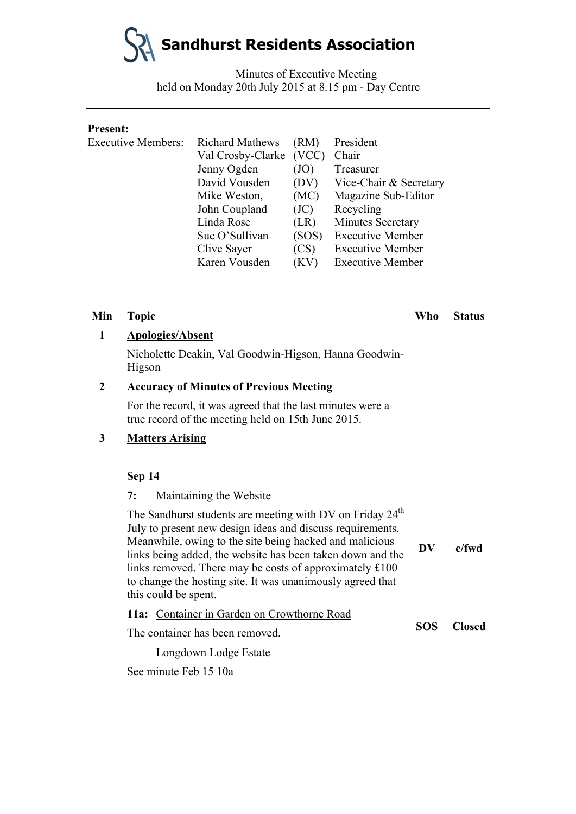**Sandhurst Residents Association**

Minutes of Executive Meeting held on Monday 20th July 2015 at 8.15 pm - Day Centre

#### **Present:**

| <b>Executive Members:</b> | <b>Richard Mathews</b> | (RM)  | President               |
|---------------------------|------------------------|-------|-------------------------|
|                           | Val Crosby-Clarke      | (VCC) | Chair                   |
|                           | Jenny Ogden            | (JO)  | Treasurer               |
|                           | David Vousden          | (DV)  | Vice-Chair & Secretary  |
|                           | Mike Weston,           | (MC)  | Magazine Sub-Editor     |
|                           | John Coupland          | (JC)  | Recycling               |
|                           | Linda Rose             | (LR)  | Minutes Secretary       |
|                           | Sue O'Sullivan         | (SOS) | <b>Executive Member</b> |
|                           | Clive Sayer            | (CS)  | <b>Executive Member</b> |
|                           | Karen Vousden          | (KV)  | <b>Executive Member</b> |
|                           |                        |       |                         |

#### **1 Apologies/Absent**

Nicholette Deakin, Val Goodwin-Higson, Hanna Goodwin-Higson

### **2 Accuracy of Minutes of Previous Meeting**

For the record, it was agreed that the last minutes were a true record of the meeting held on 15th June 2015.

### **3 Matters Arising**

#### **Sep 14**

#### **7:** Maintaining the Website

| The Sandhurst students are meeting with DV on Friday 24 <sup>th</sup><br>July to present new design ideas and discuss requirements.<br>Meanwhile, owing to the site being hacked and malicious<br>links being added, the website has been taken down and the<br>links removed. There may be costs of approximately £100<br>to change the hosting site. It was unanimously agreed that<br>this could be spent. |  | $c$ /fwd      |
|---------------------------------------------------------------------------------------------------------------------------------------------------------------------------------------------------------------------------------------------------------------------------------------------------------------------------------------------------------------------------------------------------------------|--|---------------|
| 11a: Container in Garden on Crowthorne Road                                                                                                                                                                                                                                                                                                                                                                   |  | <b>Closed</b> |
| $\mathbf{r}$ , $\mathbf{r}$ , $\mathbf{r}$ , $\mathbf{r}$ , $\mathbf{r}$ , $\mathbf{r}$ , $\mathbf{r}$ , $\mathbf{r}$ , $\mathbf{r}$ , $\mathbf{r}$ , $\mathbf{r}$ , $\mathbf{r}$ , $\mathbf{r}$ , $\mathbf{r}$ , $\mathbf{r}$ , $\mathbf{r}$ , $\mathbf{r}$ , $\mathbf{r}$ , $\mathbf{r}$ , $\mathbf{r}$ ,                                                                                                   |  |               |

The container has been removed.

Longdown Lodge Estate

See minute Feb 15 10a

**Min Topic Who Status**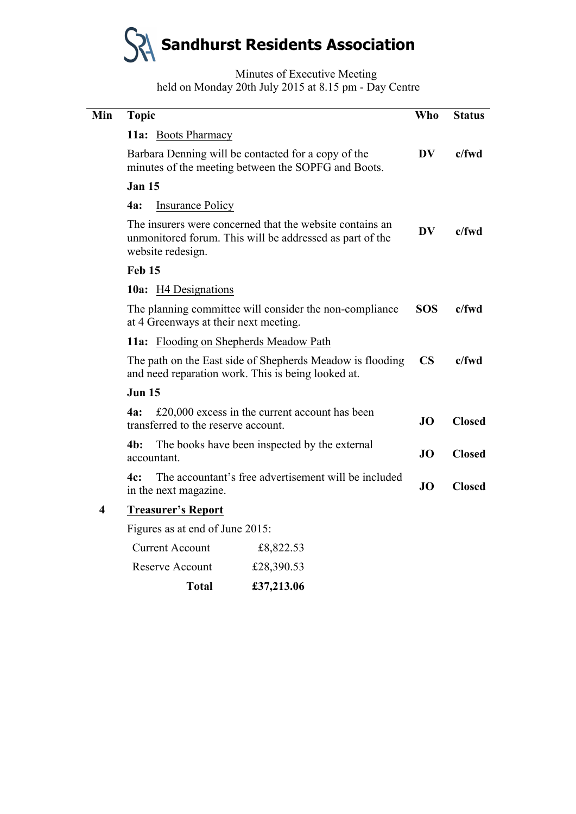

Minutes of Executive Meeting held on Monday 20th July 2015 at 8.15 pm - Day Centre

| Min | <b>Topic</b>                                                                                                                              | Who                    | <b>Status</b> |
|-----|-------------------------------------------------------------------------------------------------------------------------------------------|------------------------|---------------|
|     | 11a: Boots Pharmacy                                                                                                                       |                        |               |
|     | Barbara Denning will be contacted for a copy of the<br>minutes of the meeting between the SOPFG and Boots.                                | DV                     | $c$ /fwd      |
|     | <b>Jan 15</b>                                                                                                                             |                        |               |
|     | <b>4a:</b><br><b>Insurance Policy</b>                                                                                                     |                        |               |
|     | The insurers were concerned that the website contains an<br>unmonitored forum. This will be addressed as part of the<br>website redesign. | DV                     | $c$ /fwd      |
|     | Feb 15                                                                                                                                    |                        |               |
|     | <b>10a:</b> H4 Designations                                                                                                               |                        |               |
|     | The planning committee will consider the non-compliance<br>at 4 Greenways at their next meeting.                                          | <b>SOS</b>             | $c$ /fwd      |
|     | 11a: Flooding on Shepherds Meadow Path                                                                                                    |                        |               |
|     | The path on the East side of Shepherds Meadow is flooding<br>and need reparation work. This is being looked at.                           | $\overline{\text{CS}}$ | $c$ /fwd      |
|     | <b>Jun 15</b>                                                                                                                             |                        |               |
|     | $£20,000$ excess in the current account has been<br>4a:<br>transferred to the reserve account.                                            | JO                     | <b>Closed</b> |
|     | $4b$ :<br>The books have been inspected by the external<br>accountant.                                                                    | <b>JO</b>              | <b>Closed</b> |
|     | The accountant's free advertisement will be included<br>4c:<br>in the next magazine.                                                      | JO                     | <b>Closed</b> |
| 4   | <b>Treasurer's Report</b>                                                                                                                 |                        |               |
|     | Figures as at end of June 2015:                                                                                                           |                        |               |
|     | <b>Current Account</b><br>£8,822.53                                                                                                       |                        |               |

| <b>Total</b>    | £37,213.06 |
|-----------------|------------|
| Reserve Account | £28,390.53 |
| Current Account | £8,822.53  |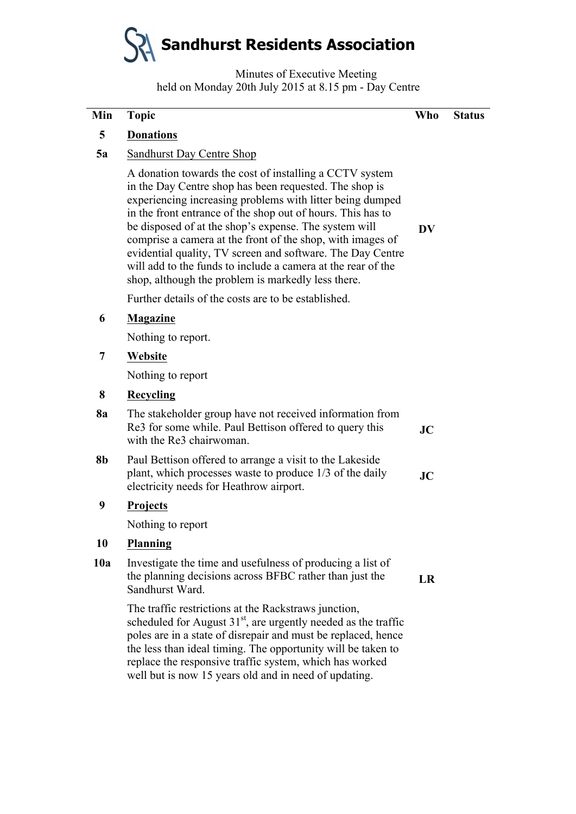# **Sandhurst Residents Association**

Minutes of Executive Meeting held on Monday 20th July 2015 at 8.15 pm - Day Centre

| Min       | <b>Topic</b>                                                                                                                                                                                                                                                                                                                                                                                                                                                                                                                                             | <b>Who</b> | <b>Status</b> |
|-----------|----------------------------------------------------------------------------------------------------------------------------------------------------------------------------------------------------------------------------------------------------------------------------------------------------------------------------------------------------------------------------------------------------------------------------------------------------------------------------------------------------------------------------------------------------------|------------|---------------|
| 5         | <b>Donations</b>                                                                                                                                                                                                                                                                                                                                                                                                                                                                                                                                         |            |               |
| 5a        | Sandhurst Day Centre Shop                                                                                                                                                                                                                                                                                                                                                                                                                                                                                                                                |            |               |
|           | A donation towards the cost of installing a CCTV system<br>in the Day Centre shop has been requested. The shop is<br>experiencing increasing problems with litter being dumped<br>in the front entrance of the shop out of hours. This has to<br>be disposed of at the shop's expense. The system will<br>comprise a camera at the front of the shop, with images of<br>evidential quality, TV screen and software. The Day Centre<br>will add to the funds to include a camera at the rear of the<br>shop, although the problem is markedly less there. | DV         |               |
|           | Further details of the costs are to be established.                                                                                                                                                                                                                                                                                                                                                                                                                                                                                                      |            |               |
| 6         | <b>Magazine</b>                                                                                                                                                                                                                                                                                                                                                                                                                                                                                                                                          |            |               |
|           | Nothing to report.                                                                                                                                                                                                                                                                                                                                                                                                                                                                                                                                       |            |               |
| 7         | Website                                                                                                                                                                                                                                                                                                                                                                                                                                                                                                                                                  |            |               |
|           | Nothing to report                                                                                                                                                                                                                                                                                                                                                                                                                                                                                                                                        |            |               |
| 8         | Recycling                                                                                                                                                                                                                                                                                                                                                                                                                                                                                                                                                |            |               |
| <b>8a</b> | The stakeholder group have not received information from<br>Re3 for some while. Paul Bettison offered to query this<br>with the Re3 chairwoman.                                                                                                                                                                                                                                                                                                                                                                                                          | JC         |               |
| <b>8b</b> | Paul Bettison offered to arrange a visit to the Lakeside<br>plant, which processes waste to produce 1/3 of the daily<br>electricity needs for Heathrow airport.                                                                                                                                                                                                                                                                                                                                                                                          | JC         |               |
| 9         | <b>Projects</b>                                                                                                                                                                                                                                                                                                                                                                                                                                                                                                                                          |            |               |
|           | Nothing to report                                                                                                                                                                                                                                                                                                                                                                                                                                                                                                                                        |            |               |
| 10        | Planning                                                                                                                                                                                                                                                                                                                                                                                                                                                                                                                                                 |            |               |
| 10a       | Investigate the time and usefulness of producing a list of<br>the planning decisions across BFBC rather than just the<br>Sandhurst Ward.                                                                                                                                                                                                                                                                                                                                                                                                                 | LR         |               |
|           | The traffic restrictions at the Rackstraws junction,<br>scheduled for August $31st$ , are urgently needed as the traffic<br>poles are in a state of disrepair and must be replaced, hence<br>the less than ideal timing. The opportunity will be taken to<br>replace the responsive traffic system, which has worked<br>well but is now 15 years old and in need of updating.                                                                                                                                                                            |            |               |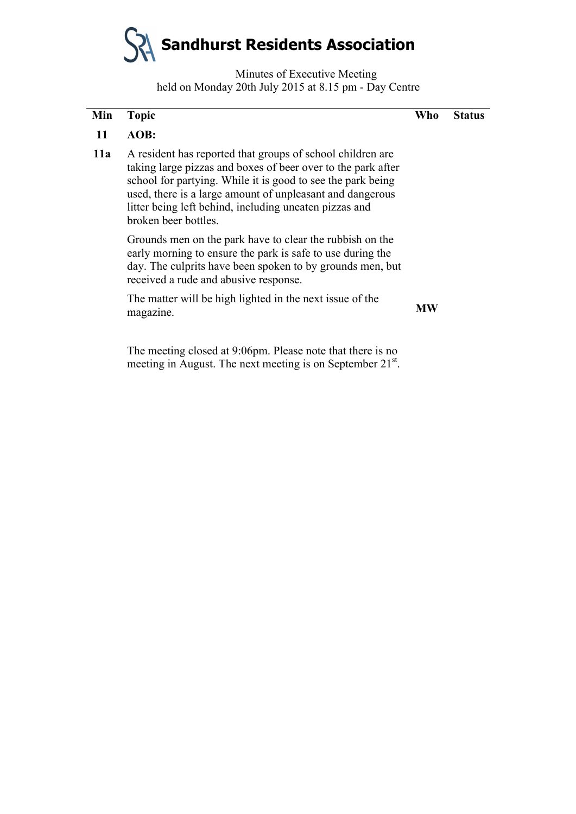**Sandhurst Residents Association**

Minutes of Executive Meeting held on Monday 20th July 2015 at 8.15 pm - Day Centre

| Min | <b>Topic</b>                                                                                                                                                                                                                                                                                                                             | Who | <b>Status</b> |
|-----|------------------------------------------------------------------------------------------------------------------------------------------------------------------------------------------------------------------------------------------------------------------------------------------------------------------------------------------|-----|---------------|
| 11  | AOB:                                                                                                                                                                                                                                                                                                                                     |     |               |
| 11a | A resident has reported that groups of school children are<br>taking large pizzas and boxes of beer over to the park after<br>school for partying. While it is good to see the park being<br>used, there is a large amount of unpleasant and dangerous<br>litter being left behind, including uneaten pizzas and<br>broken beer bottles. |     |               |
|     | Grounds men on the park have to clear the rubbish on the<br>early morning to ensure the park is safe to use during the<br>day. The culprits have been spoken to by grounds men, but<br>received a rude and abusive response.                                                                                                             |     |               |
|     | The matter will be high lighted in the next issue of the<br>magazine.                                                                                                                                                                                                                                                                    | МW  |               |
|     | $\mathbf{1}$ 1 $\mathbf{0}$ $\mathbf{0}$ $\mathbf{0}$ $\mathbf{0}$ $\mathbf{0}$ $\mathbf{0}$ $\mathbf{0}$ $\mathbf{0}$ $\mathbf{0}$ $\mathbf{0}$ $\mathbf{0}$ $\mathbf{0}$ $\mathbf{0}$ $\mathbf{0}$ $\mathbf{0}$ $\mathbf{0}$ $\mathbf{0}$ $\mathbf{0}$ $\mathbf{0}$ $\mathbf{0}$ $\mathbf{0}$ $\mathbf{0}$ $\mathbf{0}$ $\math$        |     |               |

The meeting closed at 9:06pm. Please note that there is no meeting in August. The next meeting is on September 21<sup>st</sup>.